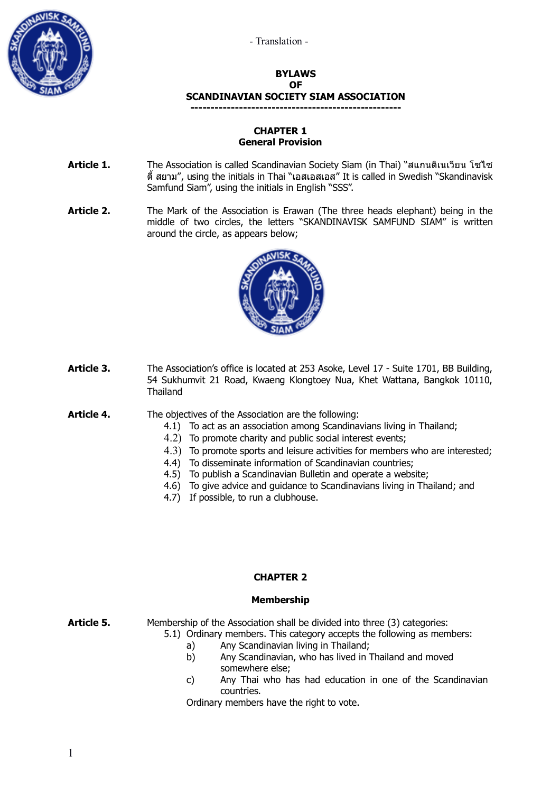



#### **BYLAWS OF SCANDINAVIAN SOCIETY SIAM ASSOCIATION ----------------------------------------------------**

## **CHAPTER 1 General Provision**

- **Article 1.** The Association is called Scandinavian Society Siam (in Thai) "สแกนดิเนเวียน โซไซ ตี้ สยาม", using the initials in Thai "เอสเอสเอส" It is called in Swedish "Skandinavisk Samfund Siam", using the initials in English "SSS".
- Article 2. The Mark of the Association is Erawan (The three heads elephant) being in the middle of two circles, the letters "SKANDINAVISK SAMFUND SIAM" is written around the circle, as appears below;



- **Article 3.** The Association's office is located at 253 Asoke, Level 17 Suite 1701, BB Building, 54 Sukhumvit 21 Road, Kwaeng Klongtoey Nua, Khet Wattana, Bangkok 10110, Thailand
- **Article 4.** The objectives of the Association are the following:
	- 4.1) To act as an association among Scandinavians living in Thailand;
	- 4.2) To promote charity and public social interest events;
	- 4.3) To promote sports and leisure activities for members who are interested;
	- 4.4) To disseminate information of Scandinavian countries;
	- 4.5) To publish a Scandinavian Bulletin and operate a website;
	- 4.6) To give advice and guidance to Scandinavians living in Thailand; and
	- 4.7) If possible, to run a clubhouse.

## **CHAPTER 2**

## **Membership**

**Article 5.** Membership of the Association shall be divided into three (3) categories: 5.1) Ordinary members. This category accepts the following as members:

- - a) Any Scandinavian living in Thailand;
	- b) Any Scandinavian, who has lived in Thailand and moved somewhere else;
	- c) Any Thai who has had education in one of the Scandinavian countries.

Ordinary members have the right to vote.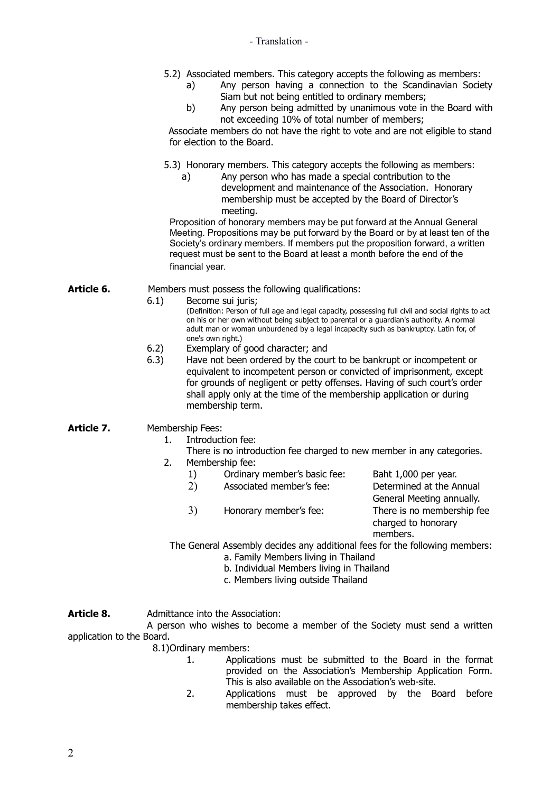- 5.2) Associated members. This category accepts the following as members:
	- a) Any person having a connection to the Scandinavian Society Siam but not being entitled to ordinary members;
	- b) Any person being admitted by unanimous vote in the Board with not exceeding 10% of total number of members;

 Associate members do not have the right to vote and are not eligible to stand for election to the Board.

- 5.3) Honorary members. This category accepts the following as members:
	- a) Any person who has made a special contribution to the development and maintenance of the Association. Honorary membership must be accepted by the Board of Director's meeting.

Proposition of honorary members may be put forward at the Annual General Meeting. Propositions may be put forward by the Board or by at least ten of the Society's ordinary members. If members put the proposition forward, a written request must be sent to the Board at least a month before the end of the financial year.

- **Article 6.** Members must possess the following qualifications:
	- 6.1) Become sui juris;

(Definition: Person of full age and legal capacity, possessing full civil and social rights to act on his or her own without being subject to parental or a guardian's authority. A normal adult man or woman unburdened by a legal incapacity such as bankruptcy. Latin for, of one's own right.)

- 6.2) Exemplary of good character; and
- 6.3) Have not been ordered by the court to be bankrupt or incompetent or equivalent to incompetent person or convicted of imprisonment, except for grounds of negligent or petty offenses. Having of such court's order shall apply only at the time of the membership application or during membership term.
- Article 7. Membership Fees:
	- 1. Introduction fee:
	- There is no introduction fee charged to new member in any categories. 2. Membership fee:
		- 1) Ordinary member's basic fee: Baht 1,000 per year.
		- 2) Associated member's fee: Determined at the Annual
		- 3) Honorary member's fee: There is no membership fee

General Meeting annually. charged to honorary members.

The General Assembly decides any additional fees for the following members:

- a. Family Members living in Thailand
- b. Individual Members living in Thailand
- c. Members living outside Thailand

# **Article 8.** Admittance into the Association:

A person who wishes to become a member of the Society must send a written application to the Board.

# 8.1)Ordinary members:

- 1. Applications must be submitted to the Board in the format provided on the Association's Membership Application Form. This is also available on the Association's web-site.
- 2. Applications must be approved by the Board before membership takes effect.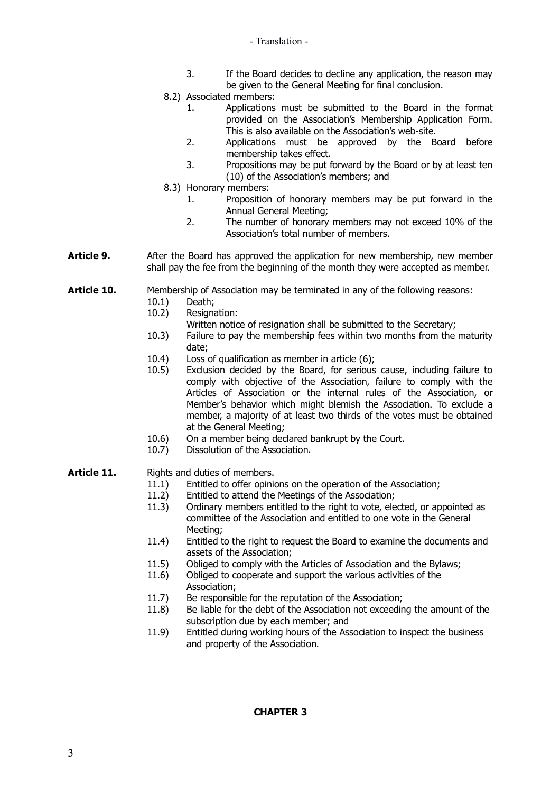- Translation -

- 3. If the Board decides to decline any application, the reason may be given to the General Meeting for final conclusion.
- 8.2) Associated members:
	- 1. Applications must be submitted to the Board in the format provided on the Association's Membership Application Form. This is also available on the Association's web-site.
	- 2. Applications must be approved by the Board before membership takes effect.
	- 3. Propositions may be put forward by the Board or by at least ten (10) of the Association's members; and
- 8.3) Honorary members:
	- 1. Proposition of honorary members may be put forward in the Annual General Meeting;
	- 2. The number of honorary members may not exceed 10% of the Association's total number of members.
- **Article 9.** After the Board has approved the application for new membership, new member shall pay the fee from the beginning of the month they were accepted as member.

**Article 10.** Membership of Association may be terminated in any of the following reasons:

- 10.1) Death;
- 10.2) Resignation:
	- Written notice of resignation shall be submitted to the Secretary;
- 10.3) Failure to pay the membership fees within two months from the maturity date;
- 10.4) Loss of qualification as member in article (6);
- 10.5) Exclusion decided by the Board, for serious cause, including failure to comply with objective of the Association, failure to comply with the Articles of Association or the internal rules of the Association, or Member's behavior which might blemish the Association. To exclude a member, a majority of at least two thirds of the votes must be obtained at the General Meeting;
- 10.6) On a member being declared bankrupt by the Court.
- 10.7) Dissolution of the Association.

# Article 11. Rights and duties of members.

- 11.1) Entitled to offer opinions on the operation of the Association;
- 11.2) Entitled to attend the Meetings of the Association;
- 11.3) Ordinary members entitled to the right to vote, elected, or appointed as committee of the Association and entitled to one vote in the General Meeting;
- 11.4) Entitled to the right to request the Board to examine the documents and assets of the Association;
- 11.5) Obliged to comply with the Articles of Association and the Bylaws;
- 11.6) Obliged to cooperate and support the various activities of the Association;
- 11.7) Be responsible for the reputation of the Association;
- 11.8) Be liable for the debt of the Association not exceeding the amount of the subscription due by each member; and
- 11.9) Entitled during working hours of the Association to inspect the business and property of the Association.

## **CHAPTER 3**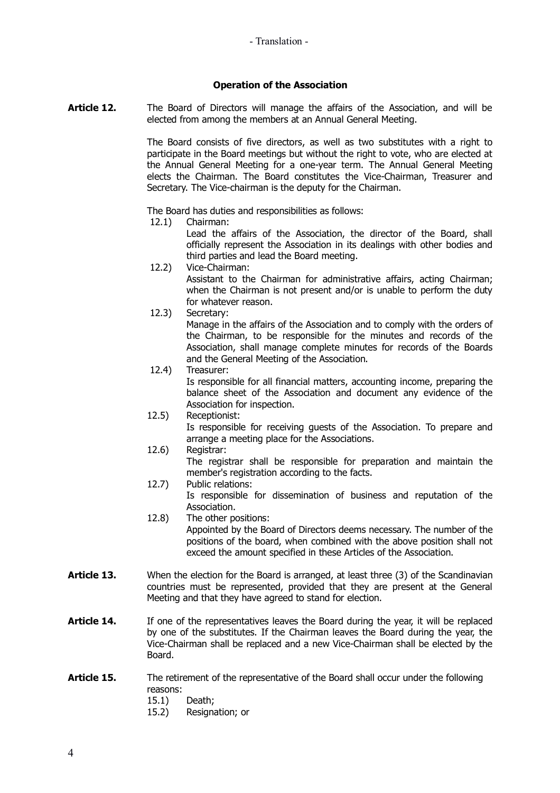## **Operation of the Association**

Article 12. The Board of Directors will manage the affairs of the Association, and will be elected from among the members at an Annual General Meeting.

> The Board consists of five directors, as well as two substitutes with a right to participate in the Board meetings but without the right to vote, who are elected at the Annual General Meeting for a one-year term. The Annual General Meeting elects the Chairman. The Board constitutes the Vice-Chairman, Treasurer and Secretary. The Vice-chairman is the deputy for the Chairman.

The Board has duties and responsibilities as follows:

12.1) Chairman:

Lead the affairs of the Association, the director of the Board, shall officially represent the Association in its dealings with other bodies and third parties and lead the Board meeting.

- 12.2) Vice-Chairman: Assistant to the Chairman for administrative affairs, acting Chairman; when the Chairman is not present and/or is unable to perform the duty for whatever reason.
- 12.3) Secretary:

Manage in the affairs of the Association and to comply with the orders of the Chairman, to be responsible for the minutes and records of the Association, shall manage complete minutes for records of the Boards and the General Meeting of the Association.

- 12.4) Treasurer: Is responsible for all financial matters, accounting income, preparing the balance sheet of the Association and document any evidence of the Association for inspection.
- 12.5) Receptionist: Is responsible for receiving guests of the Association. To prepare and arrange a meeting place for the Associations.
- 12.6) Registrar:
	- The registrar shall be responsible for preparation and maintain the member's registration according to the facts.
- 12.7) Public relations: Is responsible for dissemination of business and reputation of the Association.
- 12.8) The other positions: Appointed by the Board of Directors deems necessary. The number of the positions of the board, when combined with the above position shall not exceed the amount specified in these Articles of the Association.
- Article 13. When the election for the Board is arranged, at least three (3) of the Scandinavian countries must be represented, provided that they are present at the General Meeting and that they have agreed to stand for election.
- **Article 14.** If one of the representatives leaves the Board during the year, it will be replaced by one of the substitutes. If the Chairman leaves the Board during the year, the Vice-Chairman shall be replaced and a new Vice-Chairman shall be elected by the Board.
- Article 15. The retirement of the representative of the Board shall occur under the following reasons:
	- 15.1) Death;
	- 15.2) Resignation; or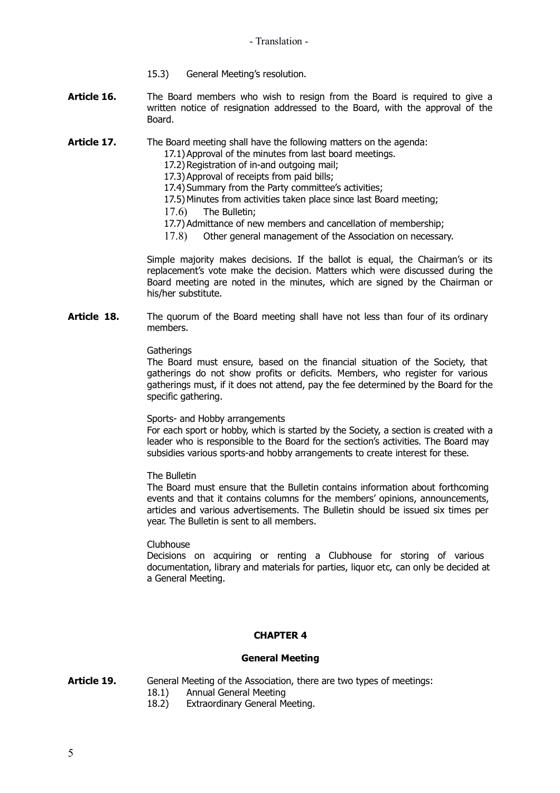- 15.3) General Meeting's resolution.
- **Article 16.** The Board members who wish to resign from the Board is required to give a written notice of resignation addressed to the Board, with the approval of the Board.
- **Article 17.** The Board meeting shall have the following matters on the agenda:
	- 17.1)Approval of the minutes from last board meetings.
	- 17.2) Registration of in-and outgoing mail;
	- 17.3)Approval of receipts from paid bills;
	- 17.4) Summary from the Party committee's activities;
	- 17.5) Minutes from activities taken place since last Board meeting;
	- 17.6) The Bulletin;
	- 17.7) Admittance of new members and cancellation of membership;
	- 17.8) Other general management of the Association on necessary.

Simple majority makes decisions. If the ballot is equal, the Chairman's or its replacement's vote make the decision. Matters which were discussed during the Board meeting are noted in the minutes, which are signed by the Chairman or his/her substitute.

**Article 18.** The quorum of the Board meeting shall have not less than four of its ordinary members.

#### **Gatherings**

The Board must ensure, based on the financial situation of the Society, that gatherings do not show profits or deficits. Members, who register for various gatherings must, if it does not attend, pay the fee determined by the Board for the specific gathering.

#### Sports- and Hobby arrangements

For each sport or hobby, which is started by the Society, a section is created with a leader who is responsible to the Board for the section's activities. The Board may subsidies various sports-and hobby arrangements to create interest for these.

The Bulletin

The Board must ensure that the Bulletin contains information about forthcoming events and that it contains columns for the members' opinions, announcements, articles and various advertisements. The Bulletin should be issued six times per year. The Bulletin is sent to all members.

#### Clubhouse

Decisions on acquiring or renting a Clubhouse for storing of various documentation, library and materials for parties, liquor etc, can only be decided at a General Meeting.

## **CHAPTER 4**

#### **General Meeting**

- **Article 19.** General Meeting of the Association, there are two types of meetings:
	- 18.1) Annual General Meeting
	- 18.2) Extraordinary General Meeting.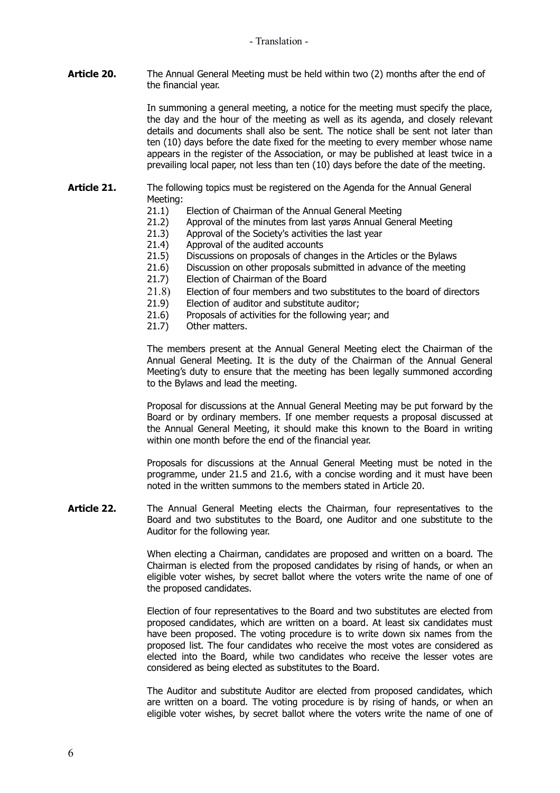**Article 20.** The Annual General Meeting must be held within two (2) months after the end of the financial year.

> In summoning a general meeting, a notice for the meeting must specify the place, the day and the hour of the meeting as well as its agenda, and closely relevant details and documents shall also be sent. The notice shall be sent not later than ten (10) days before the date fixed for the meeting to every member whose name appears in the register of the Association, or may be published at least twice in a prevailing local paper, not less than ten (10) days before the date of the meeting.

- **Article 21.** The following topics must be registered on the Agenda for the Annual General Meeting:
	- 21.1) Election of Chairman of the Annual General Meeting
	- 21.2) Approval of the minutes from last yarøs Annual General Meeting
	- 21.3) Approval of the Society's activities the last year
	- 21.4) Approval of the audited accounts
	- 21.5) Discussions on proposals of changes in the Articles or the Bylaws
	- 21.6) Discussion on other proposals submitted in advance of the meeting
	- 21.7) Election of Chairman of the Board
	- 21.8) Election of four members and two substitutes to the board of directors
	- 21.9) Election of auditor and substitute auditor;
	- 21.6) Proposals of activities for the following year; and
	- 21.7) Other matters.

The members present at the Annual General Meeting elect the Chairman of the Annual General Meeting. It is the duty of the Chairman of the Annual General Meeting's duty to ensure that the meeting has been legally summoned according to the Bylaws and lead the meeting.

Proposal for discussions at the Annual General Meeting may be put forward by the Board or by ordinary members. If one member requests a proposal discussed at the Annual General Meeting, it should make this known to the Board in writing within one month before the end of the financial year.

Proposals for discussions at the Annual General Meeting must be noted in the programme, under 21.5 and 21.6, with a concise wording and it must have been noted in the written summons to the members stated in Article 20.

**Article 22.** The Annual General Meeting elects the Chairman, four representatives to the Board and two substitutes to the Board, one Auditor and one substitute to the Auditor for the following year.

> When electing a Chairman, candidates are proposed and written on a board. The Chairman is elected from the proposed candidates by rising of hands, or when an eligible voter wishes, by secret ballot where the voters write the name of one of the proposed candidates.

> Election of four representatives to the Board and two substitutes are elected from proposed candidates, which are written on a board. At least six candidates must have been proposed. The voting procedure is to write down six names from the proposed list. The four candidates who receive the most votes are considered as elected into the Board, while two candidates who receive the lesser votes are considered as being elected as substitutes to the Board.

> The Auditor and substitute Auditor are elected from proposed candidates, which are written on a board. The voting procedure is by rising of hands, or when an eligible voter wishes, by secret ballot where the voters write the name of one of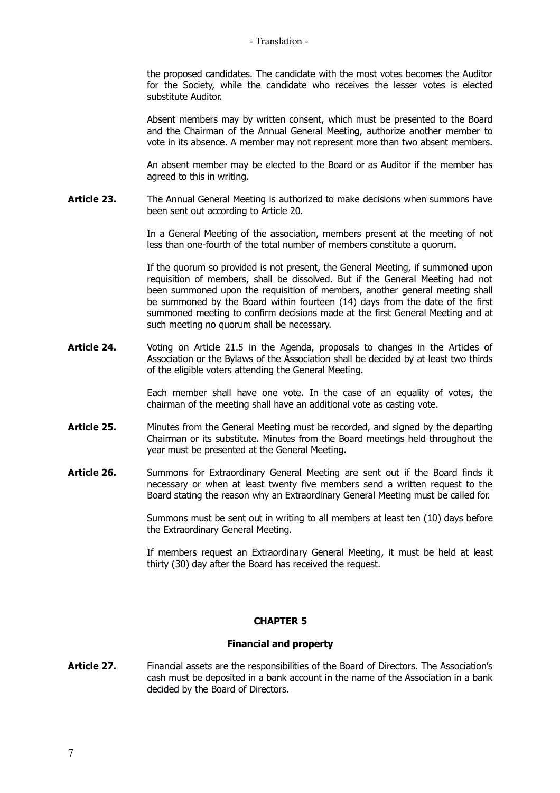#### - Translation -

the proposed candidates. The candidate with the most votes becomes the Auditor for the Society, while the candidate who receives the lesser votes is elected substitute Auditor.

Absent members may by written consent, which must be presented to the Board and the Chairman of the Annual General Meeting, authorize another member to vote in its absence. A member may not represent more than two absent members.

An absent member may be elected to the Board or as Auditor if the member has agreed to this in writing.

Article 23. The Annual General Meeting is authorized to make decisions when summons have been sent out according to Article 20.

> In a General Meeting of the association, members present at the meeting of not less than one-fourth of the total number of members constitute a quorum.

> If the quorum so provided is not present, the General Meeting, if summoned upon requisition of members, shall be dissolved. But if the General Meeting had not been summoned upon the requisition of members, another general meeting shall be summoned by the Board within fourteen (14) days from the date of the first summoned meeting to confirm decisions made at the first General Meeting and at such meeting no quorum shall be necessary.

**Article 24.** Voting on Article 21.5 in the Agenda, proposals to changes in the Articles of Association or the Bylaws of the Association shall be decided by at least two thirds of the eligible voters attending the General Meeting.

> Each member shall have one vote. In the case of an equality of votes, the chairman of the meeting shall have an additional vote as casting vote.

- Article 25. Minutes from the General Meeting must be recorded, and signed by the departing Chairman or its substitute. Minutes from the Board meetings held throughout the year must be presented at the General Meeting.
- **Article 26.** Summons for Extraordinary General Meeting are sent out if the Board finds it necessary or when at least twenty five members send a written request to the Board stating the reason why an Extraordinary General Meeting must be called for.

Summons must be sent out in writing to all members at least ten (10) days before the Extraordinary General Meeting.

If members request an Extraordinary General Meeting, it must be held at least thirty (30) day after the Board has received the request.

## **CHAPTER 5**

## **Financial and property**

**Article 27.** Financial assets are the responsibilities of the Board of Directors. The Association's cash must be deposited in a bank account in the name of the Association in a bank decided by the Board of Directors.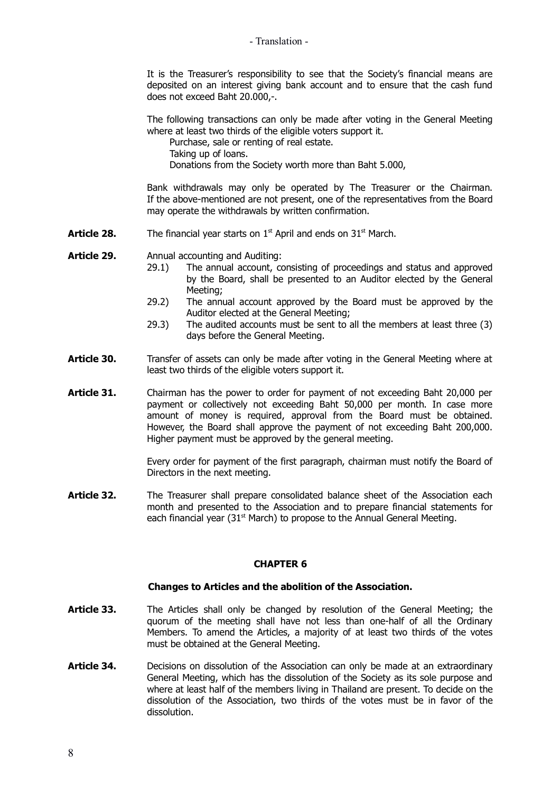- Translation -

It is the Treasurer's responsibility to see that the Society's financial means are deposited on an interest giving bank account and to ensure that the cash fund does not exceed Baht 20.000,-.

The following transactions can only be made after voting in the General Meeting where at least two thirds of the eligible voters support it.

Purchase, sale or renting of real estate.

Taking up of loans.

Donations from the Society worth more than Baht 5.000,

Bank withdrawals may only be operated by The Treasurer or the Chairman. If the above-mentioned are not present, one of the representatives from the Board may operate the withdrawals by written confirmation.

**Article 28.** The financial year starts on 1<sup>st</sup> April and ends on 31<sup>st</sup> March.

**Article 29.** Annual accounting and Auditing:

- 29.1) The annual account, consisting of proceedings and status and approved by the Board, shall be presented to an Auditor elected by the General Meeting;
- 29.2) The annual account approved by the Board must be approved by the Auditor elected at the General Meeting;
- 29.3) The audited accounts must be sent to all the members at least three (3) days before the General Meeting.
- **Article 30.** Transfer of assets can only be made after voting in the General Meeting where at least two thirds of the eligible voters support it.
- **Article 31.** Chairman has the power to order for payment of not exceeding Baht 20,000 per payment or collectively not exceeding Baht 50,000 per month. In case more amount of money is required, approval from the Board must be obtained. However, the Board shall approve the payment of not exceeding Baht 200,000. Higher payment must be approved by the general meeting.

Every order for payment of the first paragraph, chairman must notify the Board of Directors in the next meeting.

Article 32. The Treasurer shall prepare consolidated balance sheet of the Association each month and presented to the Association and to prepare financial statements for each financial year (31 $<sup>st</sup>$  March) to propose to the Annual General Meeting.</sup>

## **CHAPTER 6**

## **Changes to Articles and the abolition of the Association.**

- Article 33. The Articles shall only be changed by resolution of the General Meeting; the quorum of the meeting shall have not less than one-half of all the Ordinary Members. To amend the Articles, a majority of at least two thirds of the votes must be obtained at the General Meeting.
- **Article 34.** Decisions on dissolution of the Association can only be made at an extraordinary General Meeting, which has the dissolution of the Society as its sole purpose and where at least half of the members living in Thailand are present. To decide on the dissolution of the Association, two thirds of the votes must be in favor of the dissolution.